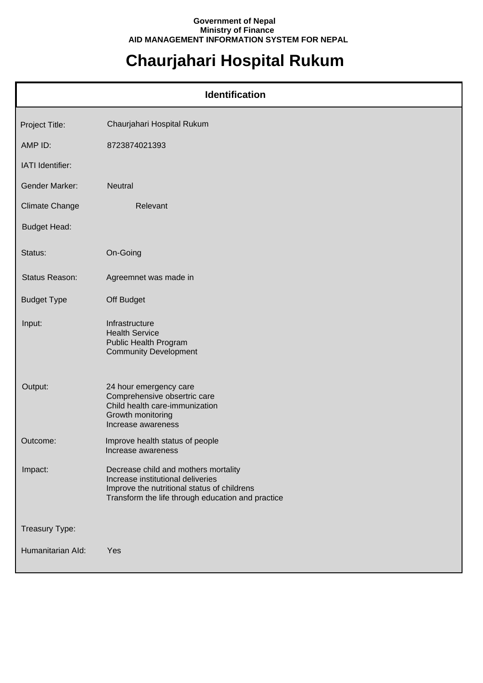## **Government of Nepal Ministry of Finance AID MANAGEMENT INFORMATION SYSTEM FOR NEPAL**

## **Chaurjahari Hospital Rukum**

| <b>Identification</b> |                                                                                                                                                                               |  |
|-----------------------|-------------------------------------------------------------------------------------------------------------------------------------------------------------------------------|--|
| Project Title:        | Chaurjahari Hospital Rukum                                                                                                                                                    |  |
| AMP ID:               | 8723874021393                                                                                                                                                                 |  |
| IATI Identifier:      |                                                                                                                                                                               |  |
| <b>Gender Marker:</b> | Neutral                                                                                                                                                                       |  |
| <b>Climate Change</b> | Relevant                                                                                                                                                                      |  |
| <b>Budget Head:</b>   |                                                                                                                                                                               |  |
| Status:               | On-Going                                                                                                                                                                      |  |
| Status Reason:        | Agreemnet was made in                                                                                                                                                         |  |
| <b>Budget Type</b>    | Off Budget                                                                                                                                                                    |  |
| Input:                | Infrastructure<br><b>Health Service</b><br>Public Health Program<br><b>Community Development</b>                                                                              |  |
| Output:               | 24 hour emergency care<br>Comprehensive obsertric care<br>Child health care-immunization<br>Growth monitoring<br>Increase awareness                                           |  |
| Outcome:              | Improve health status of people<br>Increase awareness                                                                                                                         |  |
| Impact:               | Decrease child and mothers mortality<br>Increase institutional deliveries<br>Improve the nutritional status of childrens<br>Transform the life through education and practice |  |
| Treasury Type:        |                                                                                                                                                                               |  |
| Humanitarian Ald:     | Yes                                                                                                                                                                           |  |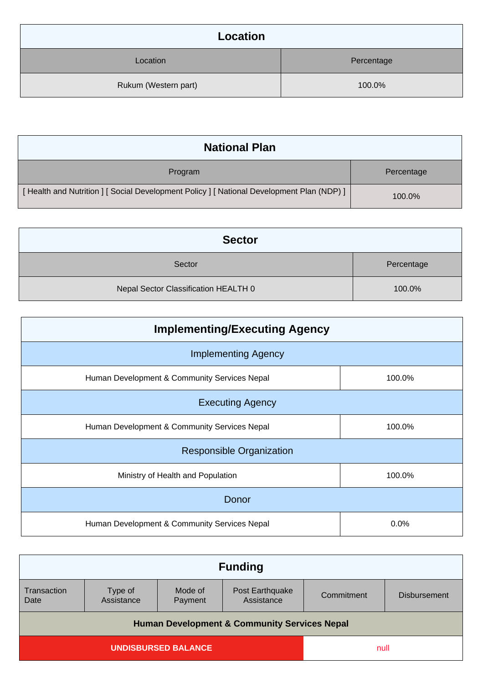| Location             |            |
|----------------------|------------|
| Location             | Percentage |
| Rukum (Western part) | 100.0%     |

| <b>National Plan</b>                                                                    |            |  |
|-----------------------------------------------------------------------------------------|------------|--|
| Program                                                                                 | Percentage |  |
| [Health and Nutrition ] [Social Development Policy ] [National Development Plan (NDP) ] | 100.0%     |  |

| <b>Sector</b>                        |            |  |
|--------------------------------------|------------|--|
| Sector                               | Percentage |  |
| Nepal Sector Classification HEALTH 0 | 100.0%     |  |

| <b>Implementing/Executing Agency</b>         |        |  |
|----------------------------------------------|--------|--|
| <b>Implementing Agency</b>                   |        |  |
| Human Development & Community Services Nepal | 100.0% |  |
| <b>Executing Agency</b>                      |        |  |
| Human Development & Community Services Nepal | 100.0% |  |
| <b>Responsible Organization</b>              |        |  |
| Ministry of Health and Population            | 100.0% |  |
| Donor                                        |        |  |
| Human Development & Community Services Nepal | 0.0%   |  |

| <b>Funding</b>                                          |                       |                    |                               |            |                     |
|---------------------------------------------------------|-----------------------|--------------------|-------------------------------|------------|---------------------|
| Transaction<br>Date                                     | Type of<br>Assistance | Mode of<br>Payment | Post Earthquake<br>Assistance | Commitment | <b>Disbursement</b> |
| <b>Human Development &amp; Community Services Nepal</b> |                       |                    |                               |            |                     |
| <b>UNDISBURSED BALANCE</b>                              |                       | null               |                               |            |                     |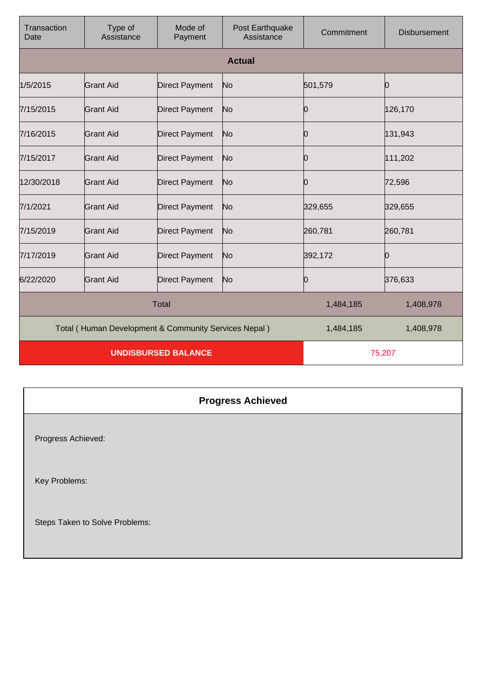| Transaction<br>Date                                  | Type of<br>Assistance | Mode of<br>Payment    | Post Earthquake<br>Assistance | Commitment | <b>Disbursement</b> |
|------------------------------------------------------|-----------------------|-----------------------|-------------------------------|------------|---------------------|
|                                                      |                       |                       | <b>Actual</b>                 |            |                     |
| 1/5/2015                                             | Grant Aid             | <b>Direct Payment</b> | No                            | 501,579    | 0                   |
| 7/15/2015                                            | <b>Grant Aid</b>      | <b>Direct Payment</b> | No                            | Ю          | 126,170             |
| 7/16/2015                                            | Grant Aid             | <b>Direct Payment</b> | No                            | Ю          | 131,943             |
| 7/15/2017                                            | Grant Aid             | <b>Direct Payment</b> | No                            | Ю          | 111,202             |
| 12/30/2018                                           | <b>Grant Aid</b>      | <b>Direct Payment</b> | No                            | 0          | 72,596              |
| 7/1/2021                                             | <b>Grant Aid</b>      | <b>Direct Payment</b> | No                            | 329,655    | 329,655             |
| 7/15/2019                                            | <b>Grant Aid</b>      | <b>Direct Payment</b> | No                            | 260,781    | 260,781             |
| 7/17/2019                                            | <b>Grant Aid</b>      | <b>Direct Payment</b> | No                            | 392,172    | 0                   |
| 6/22/2020                                            | <b>Grant Aid</b>      | <b>Direct Payment</b> | No                            | Ю          | 376,633             |
| <b>Total</b>                                         |                       |                       | 1,484,185                     | 1,408,978  |                     |
| Total (Human Development & Community Services Nepal) |                       |                       | 1,484,185                     | 1,408,978  |                     |
| <b>UNDISBURSED BALANCE</b>                           |                       |                       | 75,207                        |            |                     |

## **Progress Achieved**

Progress Achieved:

Key Problems:

Steps Taken to Solve Problems: